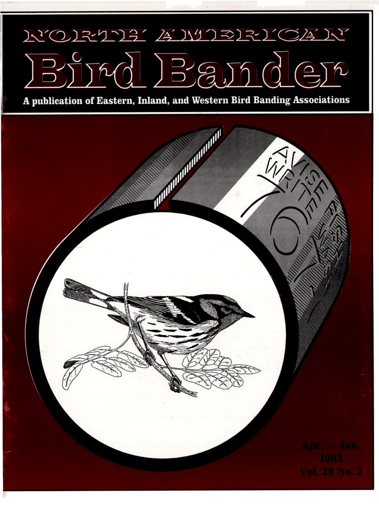## $\sqrt{1}$ <u> 7131 /s NIJRI</u>  $\sqrt{\frac{2}{3}}$ **N'OR**  $B_{2}^{2}$

A publication of Eastern, Inland, and Western Bird Banding Associations